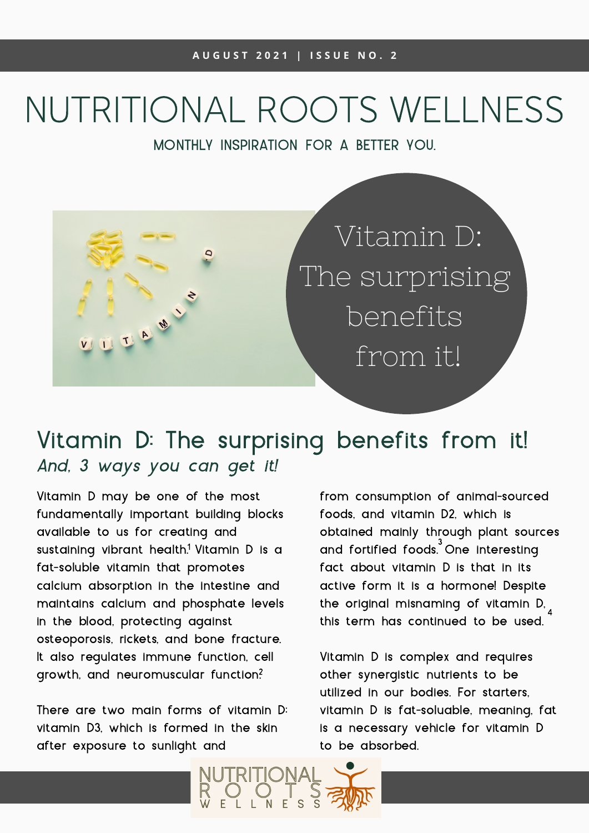# NUTRITIONAL ROOTS WELLNESS

MONTHLY INSPIRATION FOR A BETTER YOU.



## And, 3 ways you can get it! Vitamin D: The surprising benefits from it!

Vitamin D may be one of the most fundamentally important building blocks available to us for creating and sustaining vibrant health.<sup>1</sup> Vitamin D is a fat-soluble vitamin that promotes calcium absorption in the intestine and maintains calcium and phosphate levels in the blood, protecting against osteoporosis, rickets, and bone fracture. It also regulates immune function, cell growth, and neuromuscular function?

There are two main forms of vitamin D: vitamin D3, which is formed in the skin after exposure to sunlight and

from consumption of animal-sourced foods, and vitamin D2, which is obtained mainly through plant sources and fortified foods.<sup>3</sup> One interesting fact about vitamin D is that in its active form it is a hormone! Despite the original misnaming of vitamin D, this term has continued to be used. 4

Vitamin D is complex and requires other synergistic nutrients to be utilized in our bodies. For starters, vitamin D is fat-soluable, meaning, fat is a necessary vehicle for vitamin D to be absorbed.

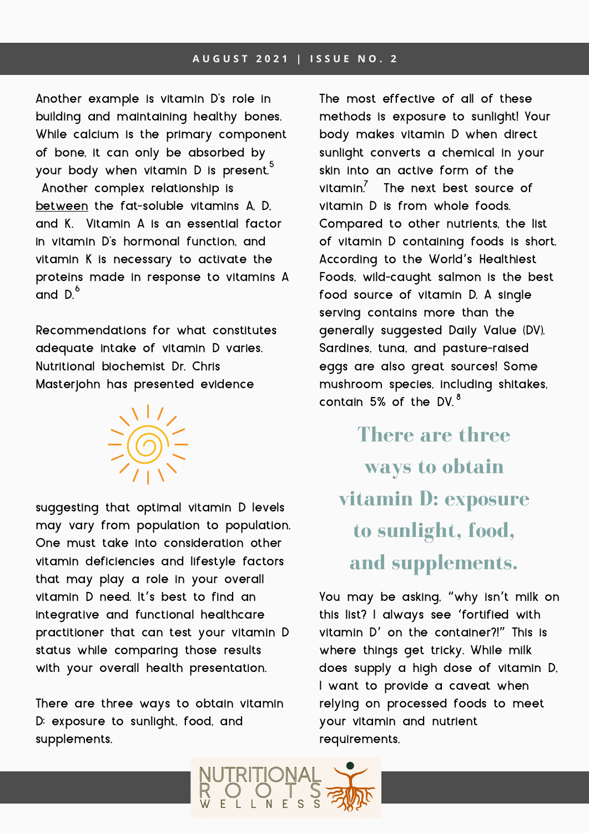Another example is vitamin D's role in building and maintaining healthy bones. While calcium is the primary component of bone, it can only be absorbed by your body when vitamin D is present. 5 Another complex relationship is between the fat-soluble vitamins A, D, and K. Vitamin A is an essential factor in vitamin D's hormonal function, and vitamin K is necessary to activate the proteins made in response to vitamins A and  $D^6$ 

Recommendations for what constitutes adequate intake of vitamin D varies. Nutritional biochemist Dr. Chris Masterjohn has presented evidence



suggesting that optimal vitamin D levels may vary from population to population. One must take into consideration other vitamin deficiencies and lifestyle factors that may play a role in your overall vitamin D need. It's best to find an integrative and functional healthcare practitioner that can test your vitamin D status while comparing those results with your overall health presentation.

There are three ways to obtain vitamin D: exposure to sunlight, food, and supplements.

The most effective of all of these methods is exposure to sunlight! Your body makes vitamin D when direct sunlight converts a chemical in your skin into an active form of the vitamin.<sup>7</sup> The next best source of vitamin D is from whole foods. Compared to other nutrients, the list of vitamin D containing foods is short. According to the World's Healthiest Foods, wild-caught salmon is the best food source of vitamin D. A single serving contains more than the generally suggested Daily Value (DV). Sardines, tuna, and pasture-raised eggs are also great sources! Some mushroom species, including shitakes, contain 5% of the DV.  $^8$ 

**There are three ways to obtain vitamin D: exposure to sunlight, food, and supplements.**

You may be asking, "why isn't milk on this list? I always see 'fortified with vitamin D' on the container?!" This is where things get tricky. While milk does supply a high dose of vitamin D, I want to provide a caveat when relying on processed foods to meet your vitamin and nutrient requirements.

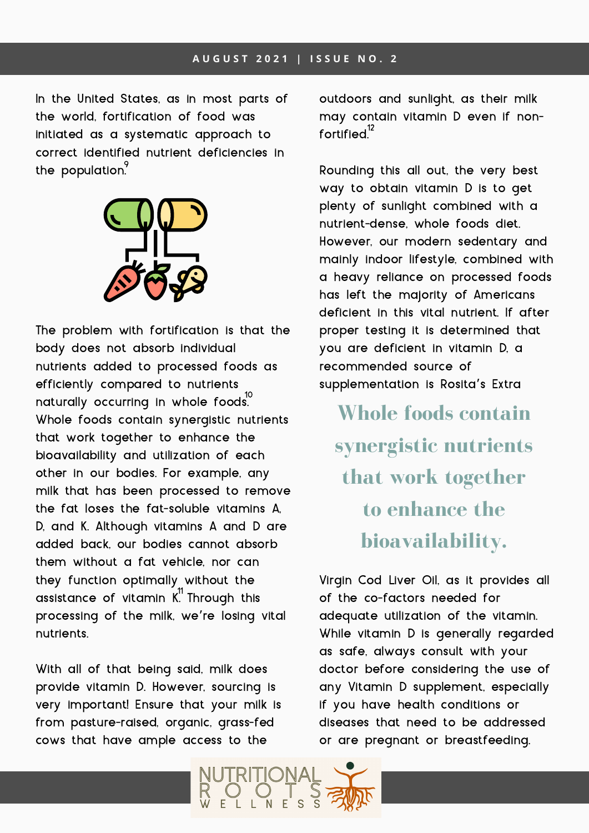#### **A U G U S T 2 0 2 1 | I S S U E N O . 2**

In the United States, as in most parts of the world, fortification of food was initiated as a systematic approach to correct identified nutrient deficiencies in the population. $\degree$ 



The problem with fortification is that the body does not absorb individual nutrients added to processed foods as efficiently compared to nutrients naturally occurring in whole foods.<sup>10</sup> Whole foods contain synergistic nutrients that work together to enhance the bioavailability and utilization of each other in our bodies. For example, any milk that has been processed to remove the fat loses the fat-soluble vitamins A, D, and K. Although vitamins A and D are added back, our bodies cannot absorb them without a fat vehicle, nor can they function optimally without the assistance of vitamin  $K^1$  Through this processing of the milk, we're losing vital nutrients.

With all of that being said, milk does provide vitamin D. However, sourcing is very important! Ensure that your milk is from pasture-raised, organic, grass-fed cows that have ample access to the

outdoors and sunlight, as their milk may contain vitamin D even if nonfortified.<sup>12</sup>

Rounding this all out, the very best way to obtain vitamin D is to get plenty of sunlight combined with a nutrient-dense, whole foods diet. However, our modern sedentary and mainly indoor lifestyle, combined with a heavy reliance on processed foods has left the majority of Americans deficient in this vital nutrient. If after proper testing it is determined that you are deficient in vitamin D, a recommended source of supplementation is Rosita's Extra

**Whole foods contain synergistic nutrients that work together to enhance the bioavailability.**

Virgin Cod Liver Oil, as it provides all of the co-factors needed for adequate utilization of the vitamin. While vitamin D is generally regarded as safe, always consult with your doctor before considering the use of any Vitamin D supplement, especially if you have health conditions or diseases that need to be addressed or are pregnant or breastfeeding.

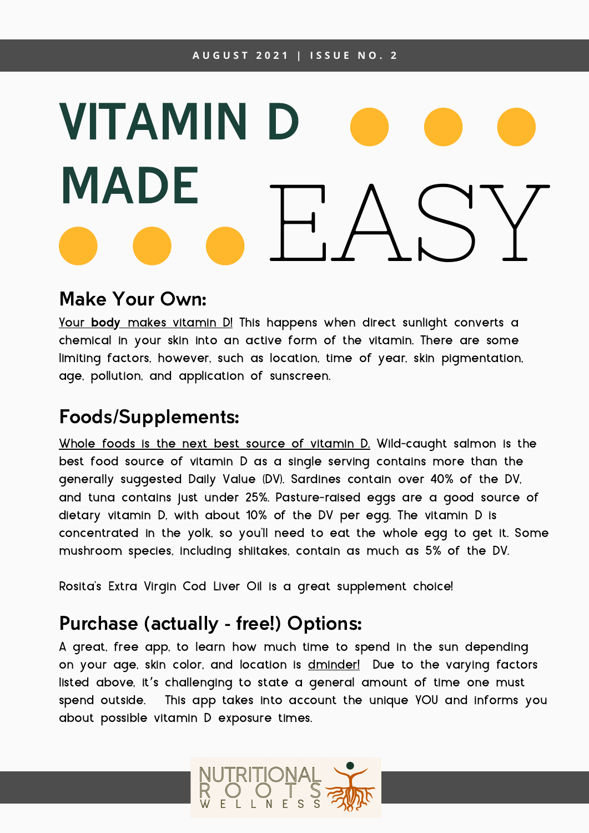# VITAMIN MADE<br>• • EASY

#### Make Your Own:

Your body makes vitamin D! This happens when direct sunlight converts a chemical in your skin into an active form of the vitamin. There are some limiting factors, however, such as location, time of year, skin pigmentation, age, pollution, and application of sunscreen.

### Foods/Supplements:

Whole foods is the next best source of vitamin D. Wild-caught salmon is the best food source of vitamin D as a single serving contains more than the generally suggested Daily Value (DV). Sardines contain over 40% of the DV, and tuna contains just under 25%. Pasture-raised eggs are a good source of dietary vitamin D, with about 10% of the DV per egg. The vitamin D is concentrated in the yolk, so you'll need to eat the whole egg to get it. Some mushroom species, including shiitakes, contain as much as 5% of the DV.

Rosita's Extra Virgin Cod Liver Oil is a great supplement choice!

#### Purchase (actually - free!) Options:

A great, free app, to learn how much time to spend in the sun depending on your age, skin color, and location is [dminder!](http://dminder.ontometrics.com/) Due to the varying factors listed above, it's challenging to state a general amount of time one must spend outside. This app takes into account the unique YOU and informs you about possible vitamin D exposure times.